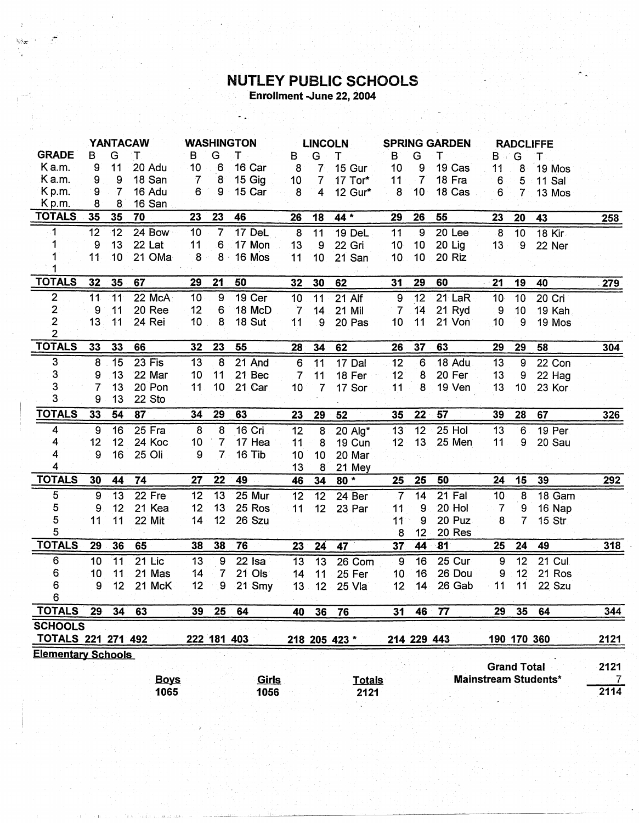## **NUTLEY PUBLIC SCHOOLS**<br>Enrollment -June 22, 2004

|                                             | <b>YANTACAW</b> |              |               | <b>WASHINGTON</b> |                 |                      | <b>LINCOLN</b>  |                 |                       | <b>SPRING GARDEN</b> |                 |               | <b>RADCLIFFE</b>   |                |                             |                        |
|---------------------------------------------|-----------------|--------------|---------------|-------------------|-----------------|----------------------|-----------------|-----------------|-----------------------|----------------------|-----------------|---------------|--------------------|----------------|-----------------------------|------------------------|
| <b>GRADE</b>                                | в               | G            | т             | в                 | G               | Т                    | В               | G               | т                     | B                    | G               | т             | $\mathbf{B}$       | G              | т                           |                        |
| Ka.m.                                       | 9               | 11           | <b>20 Adu</b> | 10                | $6\phantom{1}6$ | 16 Car               | 8               | 7               | 15 Gur                | 10                   | 9               | 19 Cas        | 11                 | 8              | 19 Mos                      |                        |
| Ka.m.                                       | 9               | 9            | 18 San        | 7                 | 8               | 15 Gig               | 10 <sup>°</sup> | $\overline{7}$  | 17 Tor*               | 11                   | $\overline{7}$  | 18 Fra        | 6                  | 5              | 11 Sal                      |                        |
| $K$ p.m.                                    | 9               | 7            | 16 Adu        | 6                 | 9               | 15 Car               | 8               | 4               | 12 Gur*               | 8                    | 10              | 18 Cas        | 6                  | 7 <sup>1</sup> | 13 Mos                      |                        |
| Kp.m.                                       | 8               | 8            | 16 San        |                   |                 |                      |                 |                 |                       |                      |                 |               |                    |                |                             |                        |
| <b>TOTALS</b>                               | 35              | 35           | 70            | 23                | 23              | 46                   | 26              | 18              | 44 *                  | 29                   | 26              | 55            | 23                 | 20             | 43                          | 258                    |
| 1                                           | 12              | $12^{\circ}$ | 24 Bow        | 10                | $\overline{7}$  | 17 DeL               | $\overline{8}$  | $\overline{11}$ | 19 DeL                | 11                   | $\overline{9}$  | 20 Lee        | $\bf{8}$           | 10             | 18 Kir                      |                        |
| 1                                           | 9               | 13           | 22 Lat        | 11                | 6               | 17 Mon               | 13              | 9               | 22 Gri                | 10 <sub>1</sub>      | 10              | 20 Lig        | $13 -$             | ୍ତ             | 22 Ner                      |                        |
|                                             | 11              | 10           | 21 OMa        | 8                 | $8 -$           | 16 Mos               | 11              | 10              | 21 San                | 10                   | 10              | 20 Riz        |                    |                |                             |                        |
| <b>TOTALS</b>                               | 32              | 35           | 67            | 29                | 21              | 50                   | 32              | 30              | 62                    | 31                   | 29              | 60            | 21                 | 19             | 40                          | 279                    |
| $\overline{2}$                              | 11              | 11           | 22 McA        | 10                | 9               | 19 Cer               | 10              | 11              | 21 Alf                | $\overline{9}$       | 12              | 21 LaR        | 10 <sub>1</sub>    | 10             | 20 Cri                      |                        |
| 2                                           | 9               | 11           | 20 Ree        | 12                | 6               | 18 McD               | $\overline{7}$  | 14              | 21 Mil                | $\overline{7}$       | 14              | 21 Ryd        | 9                  | 10             | 19 Kah                      |                        |
| $\overline{\mathbf{c}}$                     | 13              | 11           | 24 Rei        | 10 <sub>1</sub>   | 8               | 18 Sut               | 11              | 9               | 20 Pas                | 10                   | 11              | 21 Von        | 10                 | 9              | 19 Mos                      |                        |
| $\overline{2}$<br><b>TOTALS</b>             | 33              | 33           | 66            | 32                | 23              | 55                   | 28              | 34              | 62                    | 26                   | 37              | 63            | 29                 | 29             | 58                          | 304                    |
| 3                                           | 8               | 15           | 23 Fis        | 13                | 8               | 21 And               |                 | $\overline{11}$ | 17 Dal                | 12                   | 6               | 18 Adu        | 13                 |                |                             |                        |
| 3                                           | 9               | 13           | 22 Mar        | 10 <sup>°</sup>   | 11              | 21 Bec               | 6<br>7          | 11              | 18 Fer                | 12                   | 8               | 20 Fer        | 13                 | 9<br>9         | 22 Con<br>22 Hag            |                        |
| $\overline{\mathbf{3}}$                     | 7               | 13           | 20 Pon        | 11                | 10              | 21 Car               | 10              | $\overline{7}$  | 17 Sor                | 11                   | 8               | 19 Ven        | 13                 | 10             | 23 Kor                      |                        |
| $\overline{3}$                              | 9               | 13           | 22 Sto        |                   |                 |                      |                 |                 |                       |                      |                 |               |                    |                |                             |                        |
| <b>TOTALS</b>                               | 33              | 54           | 87            | 34                | 29              | 63                   | 23              | 29              | 52                    | 35                   | 22              | 57            | 39                 | 28             | 67                          | 326                    |
| 4                                           | 9               | 16           | $25$ Fra      | 8                 | 8               | 16 Cri               | 12              | 8               | 20 Alg*               | 13                   | $\overline{12}$ | $25$ Hol      | 13                 | 6              | 19 Per                      |                        |
| 4                                           | 12              | 12           | 24 Koc        | 10                | $\overline{7}$  | 17 Hea               | 11              | 8               | 19 Cun                | 12                   | 13              | 25 Men        | 11                 | 9              | 20 Sau                      |                        |
| 4                                           | 9               | 16           | 25 Oli        | 9                 | $\overline{7}$  | 16 Tib               | 10              | 10 <sup>1</sup> | 20 Mar                |                      |                 |               |                    |                |                             |                        |
| 4                                           |                 |              |               |                   |                 |                      | 13              | 8               | 21 Mey                |                      |                 |               |                    |                |                             |                        |
| <b>TOTALS</b>                               | 30              | 44           | 74            | 27                | 22              | 49                   | 46              | 34              | $80*$                 | 25                   | 25              | 50            | 24                 | 15             | 39                          | 292                    |
| 5                                           | 9               | 13           | 22 Fre        | 12                | 13              | 25 Mur               | 12              | 12              | 24 Ber                | $\overline{7}$       | 14              | <b>21 Fal</b> | 10                 | $\bf 8$        | 18 Gam                      |                        |
| 5                                           | 9               | 12           | 21 Kea        | 12                | 13              | 25 Ros               | 11              | 12              | 23 Par                | 11                   | 9               | 20 Hol        | 7                  | 9              | 16 Nap                      |                        |
| 5                                           | 11              | 11           | 22 Mit        | 14                | 12 <sup>2</sup> | 26 Szu               |                 |                 |                       | 11                   | 9               | 20 Puz        | 8                  | 7              | 15 Str                      |                        |
| 5                                           |                 |              |               |                   |                 |                      |                 |                 |                       | 8                    | 12              | 20 Res        |                    |                |                             |                        |
| <b>TOTALS</b>                               | 29              | 36           | 65            | 38                | 38              | 76                   | 23              | 24              | 47                    | 37                   | 44              | $-81$         | 25                 | 24             | 49                          | 318                    |
| 6                                           | 10              | 11           | 21 Lic        | 13                | 9               | $22$ Isa             | 13              | $\overline{13}$ | 26 Com                | 9                    | 16              | 25 Cur        | 9                  | 12             | 21 Cul                      |                        |
| 6                                           | 10              | 11           | 21 Mas        | 14                | 7               | 21 Ols               | 14              | 11              | 25 Fer                | 10                   | 16              | 26 Dou        | 9                  | 12             | 21 Ros                      |                        |
| 6                                           | 9               | 12           | 21 McK        | 12                | $\overline{9}$  | 21 Smy               | 13              | 12              | 25 Vla                | 12                   | 14              | 26 Gab        | 11                 | 11             | 22 Szu                      |                        |
| 6                                           |                 |              |               |                   |                 |                      |                 |                 |                       |                      |                 |               |                    |                |                             |                        |
| <b>TOTALS</b>                               | 29              | 34           | 63            | 39                | 25              | 64                   | 40              | -36             | 76                    | 31                   | 46              | .77           | 29                 | 35             | 64                          | 344                    |
| <b>SCHOOLS</b><br><b>TOTALS 221 271 492</b> |                 |              |               |                   |                 | 222 181 403          |                 |                 |                       |                      |                 |               |                    |                |                             |                        |
| <b>Elementary Schools</b>                   |                 |              |               |                   |                 |                      |                 |                 | 218 205 423 *         |                      | 214 229 443     |               |                    | 190 170 360    |                             | 2121                   |
|                                             |                 |              | <b>Boys</b>   |                   |                 |                      |                 |                 |                       |                      |                 |               | <b>Grand Total</b> |                | <b>Mainstream Students*</b> | 2121<br>$\overline{7}$ |
|                                             |                 |              | 1065          |                   |                 | <b>Girls</b><br>1056 |                 |                 | <b>Totals</b><br>2121 |                      |                 |               |                    |                |                             | 2114                   |